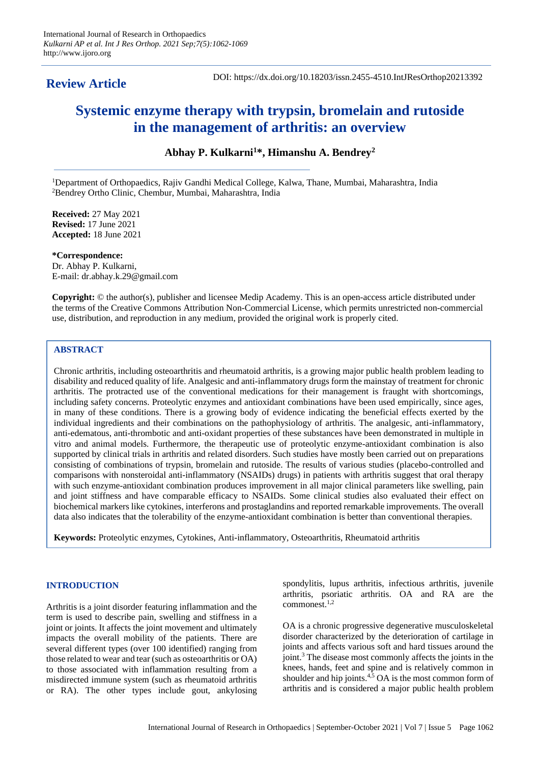## **Review Article**

DOI: https://dx.doi.org/10.18203/issn.2455-4510.IntJResOrthop20213392

# **Systemic enzyme therapy with trypsin, bromelain and rutoside in the management of arthritis: an overview**

**Abhay P. Kulkarni<sup>1</sup>\*, Himanshu A. Bendrey<sup>2</sup>**

<sup>1</sup>Department of Orthopaedics, Rajiv Gandhi Medical College, Kalwa, Thane, Mumbai, Maharashtra, India <sup>2</sup>Bendrey Ortho Clinic, Chembur, Mumbai, Maharashtra, India

**Received:** 27 May 2021 **Revised:** 17 June 2021 **Accepted:** 18 June 2021

**\*Correspondence:** Dr. Abhay P. Kulkarni, E-mail: dr.abhay.k.29@gmail.com

**Copyright:** © the author(s), publisher and licensee Medip Academy. This is an open-access article distributed under the terms of the Creative Commons Attribution Non-Commercial License, which permits unrestricted non-commercial use, distribution, and reproduction in any medium, provided the original work is properly cited.

## **ABSTRACT**

Chronic arthritis, including osteoarthritis and rheumatoid arthritis, is a growing major public health problem leading to disability and reduced quality of life. Analgesic and anti-inflammatory drugs form the mainstay of treatment for chronic arthritis. The protracted use of the conventional medications for their management is fraught with shortcomings, including safety concerns. Proteolytic enzymes and antioxidant combinations have been used empirically, since ages, in many of these conditions. There is a growing body of evidence indicating the beneficial effects exerted by the individual ingredients and their combinations on the pathophysiology of arthritis. The analgesic, anti-inflammatory, anti-edematous, anti-thrombotic and anti-oxidant properties of these substances have been demonstrated in multiple in vitro and animal models. Furthermore, the therapeutic use of proteolytic enzyme-antioxidant combination is also supported by clinical trials in arthritis and related disorders. Such studies have mostly been carried out on preparations consisting of combinations of trypsin, bromelain and rutoside. The results of various studies (placebo-controlled and comparisons with nonsteroidal anti-inflammatory (NSAIDs) drugs) in patients with arthritis suggest that oral therapy with such enzyme-antioxidant combination produces improvement in all major clinical parameters like swelling, pain and joint stiffness and have comparable efficacy to NSAIDs. Some clinical studies also evaluated their effect on biochemical markers like cytokines, interferons and prostaglandins and reported remarkable improvements. The overall data also indicates that the tolerability of the enzyme-antioxidant combination is better than conventional therapies.

**Keywords:** Proteolytic enzymes, Cytokines, Anti-inflammatory, Osteoarthritis, Rheumatoid arthritis

## **INTRODUCTION**

Arthritis is a joint disorder featuring inflammation and the term is used to describe pain, swelling and stiffness in a joint or joints. It affects the joint movement and ultimately impacts the overall mobility of the patients. There are several different types (over 100 identified) ranging from those related to wear and tear (such as osteoarthritis or OA) to those associated with inflammation resulting from a misdirected immune system (such as rheumatoid arthritis or RA). The other types include gout, ankylosing spondylitis, lupus arthritis, infectious arthritis, juvenile arthritis, psoriatic arthritis. OA and RA are the commonest.1,2

OA is a chronic progressive degenerative musculoskeletal disorder characterized by the deterioration of cartilage in joints and affects various soft and hard tissues around the joint.<sup>3</sup> The disease most commonly affects the joints in the knees, hands, feet and spine and is relatively common in shoulder and hip joints.<sup>4,5</sup> OA is the most common form of arthritis and is considered a major public health problem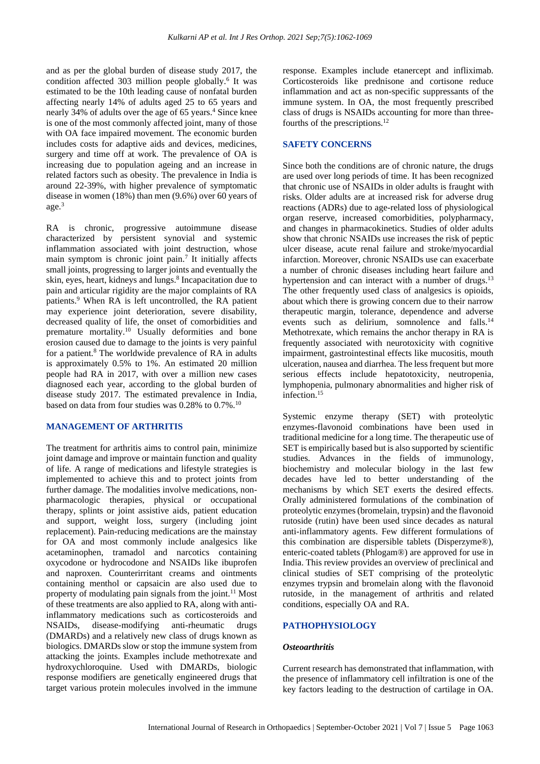and as per the global burden of disease study 2017, the condition affected 303 million people globally.<sup>6</sup> It was estimated to be the 10th leading cause of nonfatal burden affecting nearly 14% of adults aged 25 to 65 years and nearly 34% of adults over the age of 65 years.<sup>4</sup> Since knee is one of the most commonly affected joint, many of those with OA face impaired movement. The economic burden includes costs for adaptive aids and devices, medicines, surgery and time off at work. The prevalence of OA is increasing due to population ageing and an increase in related factors such as obesity. The prevalence in India is around 22-39%, with higher prevalence of symptomatic disease in women (18%) than men (9.6%) over 60 years of age.<sup>3</sup>

RA is chronic, progressive autoimmune disease characterized by persistent synovial and systemic inflammation associated with joint destruction, whose main symptom is chronic joint pain.<sup>7</sup> It initially affects small joints, progressing to larger joints and eventually the skin, eyes, heart, kidneys and lungs.<sup>8</sup> Incapacitation due to pain and articular rigidity are the major complaints of RA patients.<sup>9</sup> When RA is left uncontrolled, the RA patient may experience joint deterioration, severe disability, decreased quality of life, the onset of comorbidities and premature mortality.<sup>10</sup> Usually deformities and bone erosion caused due to damage to the joints is very painful for a patient.<sup>8</sup> The worldwide prevalence of RA in adults is approximately 0.5% to 1%. An estimated 20 million people had RA in 2017, with over a million new cases diagnosed each year, according to the global burden of disease study 2017. The estimated prevalence in India, based on data from four studies was  $0.28\%$  to  $0.7\%$ .<sup>10</sup>

## **MANAGEMENT OF ARTHRITIS**

The treatment for arthritis aims to control pain, minimize joint damage and improve or maintain function and quality of life. A range of medications and lifestyle strategies is implemented to achieve this and to protect joints from further damage. The modalities involve medications, nonpharmacologic therapies, physical or occupational therapy, splints or joint assistive aids, patient education and support, weight loss, surgery (including joint replacement). Pain-reducing medications are the mainstay for OA and most commonly include analgesics like acetaminophen, tramadol and narcotics containing oxycodone or hydrocodone and NSAIDs like ibuprofen and naproxen. Counterirritant creams and ointments containing menthol or capsaicin are also used due to property of modulating pain signals from the joint.<sup>11</sup> Most of these treatments are also applied to RA, along with antiinflammatory medications such as corticosteroids and NSAIDs, disease-modifying anti-rheumatic drugs (DMARDs) and a relatively new class of drugs known as biologics. DMARDs slow or stop the immune system from attacking the joints. Examples include methotrexate and hydroxychloroquine. Used with DMARDs, biologic response modifiers are genetically engineered drugs that target various protein molecules involved in the immune response. Examples include etanercept and infliximab. Corticosteroids like prednisone and cortisone reduce inflammation and act as non-specific suppressants of the immune system. In OA, the most frequently prescribed class of drugs is NSAIDs accounting for more than threefourths of the prescriptions.<sup>12</sup>

#### **SAFETY CONCERNS**

Since both the conditions are of chronic nature, the drugs are used over long periods of time. It has been recognized that chronic use of NSAIDs in older adults is fraught with risks. Older adults are at increased risk for adverse drug reactions (ADRs) due to age-related loss of physiological organ reserve, increased comorbidities, polypharmacy, and changes in pharmacokinetics. Studies of older adults show that chronic NSAIDs use increases the risk of peptic ulcer disease, acute renal failure and stroke/myocardial infarction. Moreover, chronic NSAIDs use can exacerbate a number of chronic diseases including heart failure and hypertension and can interact with a number of drugs.<sup>13</sup> The other frequently used class of analgesics is opioids, about which there is growing concern due to their narrow therapeutic margin, tolerance, dependence and adverse events such as delirium, somnolence and falls.<sup>14</sup> Methotrexate, which remains the anchor therapy in RA is frequently associated with neurotoxicity with cognitive impairment, gastrointestinal effects like mucositis, mouth ulceration, nausea and diarrhea. The less frequent but more serious effects include hepatotoxicity, neutropenia, lymphopenia, pulmonary abnormalities and higher risk of infection.<sup>15</sup>

Systemic enzyme therapy (SET) with proteolytic enzymes-flavonoid combinations have been used in traditional medicine for a long time. The therapeutic use of SET is empirically based but is also supported by scientific studies. Advances in the fields of immunology, biochemistry and molecular biology in the last few decades have led to better understanding of the mechanisms by which SET exerts the desired effects. Orally administered formulations of the combination of proteolytic enzymes (bromelain, trypsin) and the flavonoid rutoside (rutin) have been used since decades as natural anti-inflammatory agents. Few different formulations of this combination are dispersible tablets (Disperzyme®), enteric-coated tablets (Phlogam®) are approved for use in India. This review provides an overview of preclinical and clinical studies of SET comprising of the proteolytic enzymes trypsin and bromelain along with the flavonoid rutoside, in the management of arthritis and related conditions, especially OA and RA.

## **PATHOPHYSIOLOGY**

#### *Osteoarthritis*

Current research has demonstrated that inflammation, with the presence of inflammatory cell infiltration is one of the key factors leading to the destruction of cartilage in OA.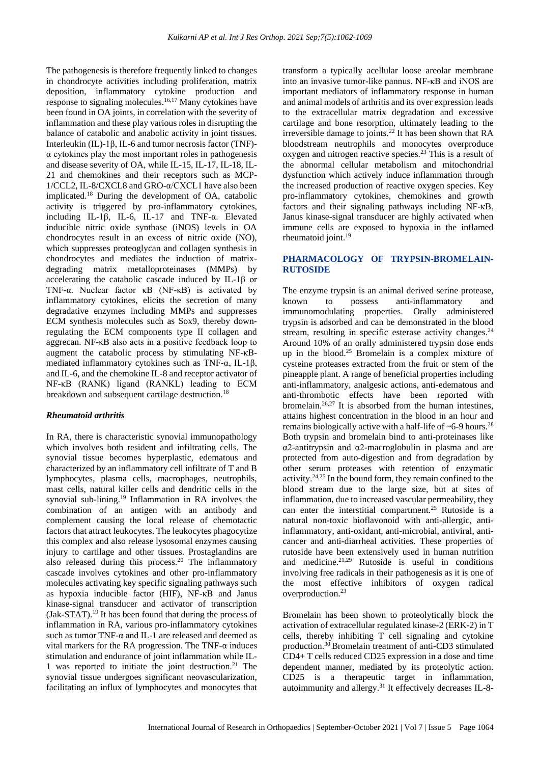The pathogenesis is therefore frequently linked to changes in chondrocyte activities including proliferation, matrix deposition, inflammatory cytokine production and response to signaling molecules.<sup>16,17</sup> Many cytokines have been found in OA joints, in correlation with the severity of inflammation and these play various roles in disrupting the balance of catabolic and anabolic activity in joint tissues. Interleukin (IL)-1β, IL-6 and tumor necrosis factor (TNF) α cytokines play the most important roles in pathogenesis and disease severity of OA, while IL-15, IL-17, IL-18, IL-21 and chemokines and their receptors such as MCP-1/CCL2, IL-8/CXCL8 and GRO-α/CXCL1 have also been implicated.<sup>18</sup> During the development of OA, catabolic activity is triggered by pro-inflammatory cytokines, including IL-1 $\beta$ , IL-6, IL-17 and TNF- $\alpha$ . Elevated inducible nitric oxide synthase (iNOS) levels in OA chondrocytes result in an excess of nitric oxide (NO), which suppresses proteoglycan and collagen synthesis in chondrocytes and mediates the induction of matrixdegrading matrix metalloproteinases (MMPs) by accelerating the catabolic cascade induced by IL-1β or TNF-α. Nuclear factor κB (NF-κB) is activated by inflammatory cytokines, elicits the secretion of many degradative enzymes including MMPs and suppresses ECM synthesis molecules such as Sox9, thereby downregulating the ECM components type II collagen and aggrecan. NF-κB also acts in a positive feedback loop to augment the catabolic process by stimulating NF-κBmediated inflammatory cytokines such as TNF-α, IL-1β, and IL-6, and the chemokine IL-8 and receptor activator of NF-κB (RANK) ligand (RANKL) leading to ECM breakdown and subsequent cartilage destruction.<sup>18</sup>

#### *Rheumatoid arthritis*

In RA, there is characteristic synovial immunopathology which involves both resident and infiltrating cells. The synovial tissue becomes hyperplastic, edematous and characterized by an inflammatory cell infiltrate of T and B lymphocytes, plasma cells, macrophages, neutrophils, mast cells, natural killer cells and dendritic cells in the synovial sub-lining.<sup>19</sup> Inflammation in RA involves the combination of an antigen with an antibody and complement causing the local release of chemotactic factors that attract leukocytes. The leukocytes phagocytize this complex and also release lysosomal enzymes causing injury to cartilage and other tissues. Prostaglandins are also released during this process.<sup>20</sup> The inflammatory cascade involves cytokines and other pro-inflammatory molecules activating key specific signaling pathways such as hypoxia inducible factor (HIF), NF-κB and Janus kinase-signal transducer and activator of transcription (Jak-STAT).<sup>19</sup> It has been found that during the process of inflammation in RA, various pro-inflammatory cytokines such as tumor TNF-α and IL-1 are released and deemed as vital markers for the RA progression. The TNF- $\alpha$  induces stimulation and endurance of joint inflammation while IL-1 was reported to initiate the joint destruction.<sup>21</sup> The synovial tissue undergoes significant neovascularization, facilitating an influx of lymphocytes and monocytes that transform a typically acellular loose areolar membrane into an invasive tumor-like pannus. NF-κB and iNOS are important mediators of inflammatory response in human and animal models of arthritis and its over expression leads to the extracellular matrix degradation and excessive cartilage and bone resorption, ultimately leading to the irreversible damage to joints.<sup>22</sup> It has been shown that RA bloodstream neutrophils and monocytes overproduce oxygen and nitrogen reactive species.<sup>23</sup> This is a result of the abnormal cellular metabolism and mitochondrial dysfunction which actively induce inflammation through the increased production of reactive oxygen species. Key pro-inflammatory cytokines, chemokines and growth factors and their signaling pathways including NF-κB, Janus kinase-signal transducer are highly activated when immune cells are exposed to hypoxia in the inflamed rheumatoid joint.<sup>19</sup>

## **PHARMACOLOGY OF TRYPSIN-BROMELAIN-RUTOSIDE**

The enzyme trypsin is an animal derived serine protease, known to possess anti-inflammatory and immunomodulating properties. Orally administered trypsin is adsorbed and can be demonstrated in the blood stream, resulting in specific esterase activity changes.<sup>24</sup> Around 10% of an orally administered trypsin dose ends up in the blood.<sup>25</sup> Bromelain is a complex mixture of cysteine proteases extracted from the fruit or stem of the pineapple plant. A range of beneficial properties including anti-inflammatory, analgesic actions, anti-edematous and anti-thrombotic effects have been reported with bromelain.26,27 It is absorbed from the human intestines, attains highest concentration in the blood in an hour and remains biologically active with a half-life of  $\sim$  6-9 hours.<sup>28</sup> Both trypsin and bromelain bind to anti-proteinases like α2-antitrypsin and α2-macroglobulin in plasma and are protected from auto-digestion and from degradation by other serum proteases with retention of enzymatic activity.24,25 In the bound form, they remain confined to the blood stream due to the large size, but at sites of inflammation, due to increased vascular permeability, they can enter the interstitial compartment.<sup>25</sup> Rutoside is a natural non-toxic bioflavonoid with anti-allergic, antiinflammatory, anti-oxidant, anti-microbial, antiviral, anticancer and anti-diarrheal activities. These properties of rutoside have been extensively used in human nutrition and medicine.<sup>21,29</sup> Rutoside is useful in conditions involving free radicals in their pathogenesis as it is one of the most effective inhibitors of oxygen radical overproduction.<sup>23</sup>

Bromelain has been shown to proteolytically block the activation of extracellular regulated kinase-2 (ERK-2) in T cells, thereby inhibiting T cell signaling and cytokine production.<sup>30</sup> Bromelain treatment of anti-CD3 stimulated CD4+ T cells reduced CD25 expression in a dose and time dependent manner, mediated by its proteolytic action. CD25 is a therapeutic target in inflammation, autoimmunity and allergy.<sup>31</sup> It effectively decreases IL-8-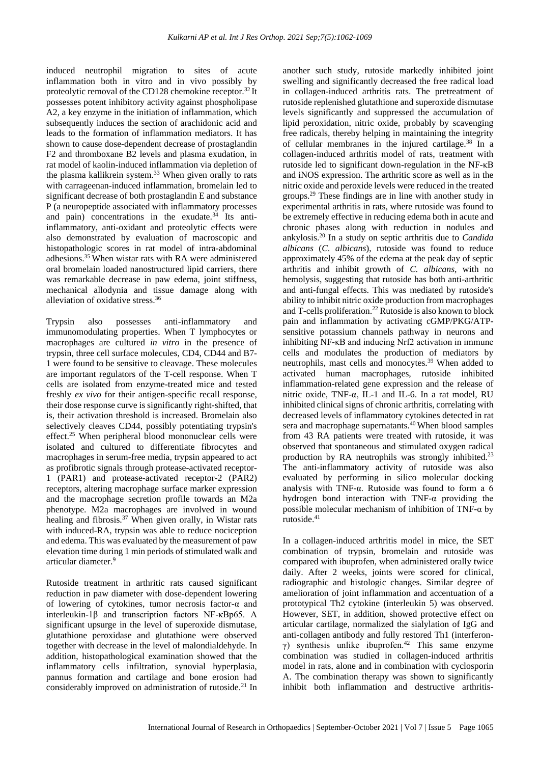induced neutrophil migration to sites of acute inflammation both in vitro and in vivo possibly by proteolytic removal of the CD128 chemokine receptor.<sup>32</sup> It possesses potent inhibitory activity against phospholipase A2, a key enzyme in the initiation of inflammation, which subsequently induces the section of arachidonic acid and leads to the formation of inflammation mediators. It has shown to cause dose-dependent decrease of prostaglandin F2 and thromboxane B2 levels and plasma exudation, in rat model of kaolin-induced inflammation via depletion of the plasma kallikrein system.<sup>33</sup> When given orally to rats with carrageenan-induced inflammation, bromelain led to significant decrease of both prostaglandin E and substance P (a neuropeptide associated with inflammatory processes and pain) concentrations in the exudate.<sup>34</sup> Its antiinflammatory, anti-oxidant and proteolytic effects were also demonstrated by evaluation of macroscopic and histopathologic scores in rat model of intra-abdominal adhesions.<sup>35</sup>When wistar rats with RA were administered oral bromelain loaded nanostructured lipid carriers, there was remarkable decrease in paw edema, joint stiffness, mechanical allodynia and tissue damage along with alleviation of oxidative stress.<sup>36</sup>

Trypsin also possesses anti-inflammatory and immunomodulating properties. When T lymphocytes or macrophages are cultured *in vitro* in the presence of trypsin, three cell surface molecules, CD4, CD44 and B7- 1 were found to be sensitive to cleavage. These molecules are important regulators of the T-cell response. When T cells are isolated from enzyme-treated mice and tested freshly *ex vivo* for their antigen-specific recall response, their dose response curve is significantly right-shifted, that is, their activation threshold is increased. Bromelain also selectively cleaves CD44, possibly potentiating trypsin's effect.<sup>25</sup> When peripheral blood mononuclear cells were isolated and cultured to differentiate fibrocytes and macrophages in serum-free media, trypsin appeared to act as profibrotic signals through protease-activated receptor-1 (PAR1) and protease-activated receptor-2 (PAR2) receptors, altering macrophage surface marker expression and the macrophage secretion profile towards an M2a phenotype. M2a macrophages are involved in wound healing and fibrosis.<sup>37</sup> When given orally, in Wistar rats with induced-RA, trypsin was able to reduce nociception and edema. This was evaluated by the measurement of paw elevation time during 1 min periods of stimulated walk and articular diameter.<sup>9</sup>

Rutoside treatment in arthritic rats caused significant reduction in paw diameter with dose-dependent lowering of lowering of cytokines, tumor necrosis factor-α and interleukin-1β and transcription factors NF-κBp65. A significant upsurge in the level of superoxide dismutase, glutathione peroxidase and glutathione were observed together with decrease in the level of malondialdehyde. In addition, histopathological examination showed that the inflammatory cells infiltration, synovial hyperplasia, pannus formation and cartilage and bone erosion had considerably improved on administration of rutoside.<sup>21</sup> In another such study, rutoside markedly inhibited joint swelling and significantly decreased the free radical load in collagen-induced arthritis rats. The pretreatment of rutoside replenished glutathione and superoxide dismutase levels significantly and suppressed the accumulation of lipid peroxidation, nitric oxide, probably by scavenging free radicals, thereby helping in maintaining the integrity of cellular membranes in the injured cartilage.<sup>38</sup> In a collagen-induced arthritis model of rats, treatment with rutoside led to significant down-regulation in the NF-κB and iNOS expression. The arthritic score as well as in the nitric oxide and peroxide levels were reduced in the treated groups.<sup>29</sup> These findings are in line with another study in experimental arthritis in rats, where rutoside was found to be extremely effective in reducing edema both in acute and chronic phases along with reduction in nodules and ankylosis.<sup>20</sup> In a study on septic arthritis due to *Candida albicans* (*C. albicans*), rutoside was found to reduce approximately 45% of the edema at the peak day of septic arthritis and inhibit growth of *C. albicans*, with no hemolysis, suggesting that rutoside has both anti-arthritic and anti-fungal effects. This was mediated by rutoside's ability to inhibit nitric oxide production from macrophages and T-cells proliferation.<sup>22</sup> Rutoside is also known to block pain and inflammation by activating cGMP/PKG/ATPsensitive potassium channels pathway in neurons and inhibiting NF-κB and inducing Nrf2 activation in immune cells and modulates the production of mediators by neutrophils, mast cells and monocytes.<sup>39</sup> When added to activated human macrophages, rutoside inhibited inflammation-related gene expression and the release of nitric oxide, TNF-α, IL-1 and IL-6. In a rat model, RU inhibited clinical signs of chronic arthritis, correlating with decreased levels of inflammatory cytokines detected in rat sera and macrophage supernatants.<sup>40</sup>When blood samples from 43 RA patients were treated with rutoside, it was observed that spontaneous and stimulated oxygen radical production by RA neutrophils was strongly inhibited.<sup>23</sup> The anti-inflammatory activity of rutoside was also evaluated by performing in silico molecular docking analysis with TNF-α. Rutoside was found to form a 6 hydrogen bond interaction with TNF-α providing the possible molecular mechanism of inhibition of TNF-α by rutoside.<sup>41</sup>

In a collagen-induced arthritis model in mice, the SET combination of trypsin, bromelain and rutoside was compared with ibuprofen, when administered orally twice daily. After 2 weeks, joints were scored for clinical, radiographic and histologic changes. Similar degree of amelioration of joint inflammation and accentuation of a prototypical Th2 cytokine (interleukin 5) was observed. However, SET, in addition, showed protective effect on articular cartilage, normalized the sialylation of IgG and anti-collagen antibody and fully restored Th1 (interferonγ) synthesis unlike ibuprofen.<sup>42</sup> This same enzyme combination was studied in collagen-induced arthritis model in rats, alone and in combination with cyclosporin A. The combination therapy was shown to significantly inhibit both inflammation and destructive arthritis-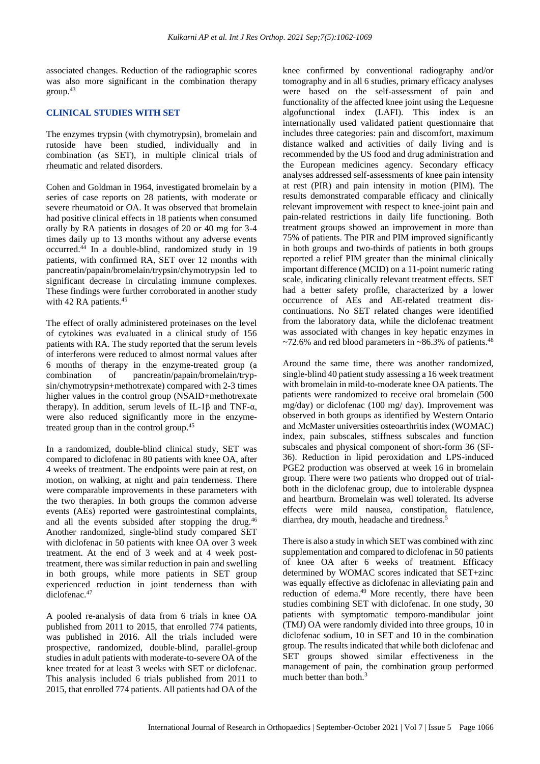associated changes. Reduction of the radiographic scores was also more significant in the combination therapy group.<sup>43</sup>

#### **CLINICAL STUDIES WITH SET**

The enzymes trypsin (with chymotrypsin), bromelain and rutoside have been studied, individually and in combination (as SET), in multiple clinical trials of rheumatic and related disorders.

Cohen and Goldman in 1964, investigated bromelain by a series of case reports on 28 patients, with moderate or severe rheumatoid or OA. It was observed that bromelain had positive clinical effects in 18 patients when consumed orally by RA patients in dosages of 20 or 40 mg for 3-4 times daily up to 13 months without any adverse events occurred.<sup>44</sup> In a double-blind, randomized study in 19 patients, with confirmed RA, SET over 12 months with pancreatin/papain/bromelain/trypsin/chymotrypsin led to significant decrease in circulating immune complexes. These findings were further corroborated in another study with 42 RA patients.<sup>45</sup>

The effect of orally administered proteinases on the level of cytokines was evaluated in a clinical study of 156 patients with RA. The study reported that the serum levels of interferons were reduced to almost normal values after 6 months of therapy in the enzyme-treated group (a combination of pancreatin/papain/bromelain/trypsin/chymotrypsin+methotrexate) compared with 2-3 times higher values in the control group (NSAID+methotrexate therapy). In addition, serum levels of IL-1β and TNF- $α$ , were also reduced significantly more in the enzymetreated group than in the control group.<sup>45</sup>

In a randomized, double-blind clinical study, SET was compared to diclofenac in 80 patients with knee OA, after 4 weeks of treatment. The endpoints were pain at rest, on motion, on walking, at night and pain tenderness. There were comparable improvements in these parameters with the two therapies. In both groups the common adverse events (AEs) reported were gastrointestinal complaints, and all the events subsided after stopping the drug.<sup>46</sup> Another randomized, single-blind study compared SET with diclofenac in 50 patients with knee OA over 3 week treatment. At the end of 3 week and at 4 week posttreatment, there was similar reduction in pain and swelling in both groups, while more patients in SET group experienced reduction in joint tenderness than with diclofenac.<sup>47</sup>

A pooled re-analysis of data from 6 trials in knee OA published from 2011 to 2015, that enrolled 774 patients, was published in 2016. All the trials included were prospective, randomized, double-blind, parallel-group studies in adult patients with moderate-to-severe OA of the knee treated for at least 3 weeks with SET or diclofenac. This analysis included 6 trials published from 2011 to 2015, that enrolled 774 patients. All patients had OA of the knee confirmed by conventional radiography and/or tomography and in all 6 studies, primary efficacy analyses were based on the self-assessment of pain and functionality of the affected knee joint using the Lequesne algofunctional index (LAFI). This index is an internationally used validated patient questionnaire that includes three categories: pain and discomfort, maximum distance walked and activities of daily living and is recommended by the US food and drug administration and the European medicines agency. Secondary efficacy analyses addressed self-assessments of knee pain intensity at rest (PIR) and pain intensity in motion (PIM). The results demonstrated comparable efficacy and clinically relevant improvement with respect to knee-joint pain and pain-related restrictions in daily life functioning. Both treatment groups showed an improvement in more than 75% of patients. The PIR and PIM improved significantly in both groups and two-thirds of patients in both groups reported a relief PIM greater than the minimal clinically important difference (MCID) on a 11-point numeric rating scale, indicating clinically relevant treatment effects. SET had a better safety profile, characterized by a lower occurrence of AEs and AE-related treatment discontinuations. No SET related changes were identified from the laboratory data, while the diclofenac treatment was associated with changes in key hepatic enzymes in  $\approx$ 72.6% and red blood parameters in  $\approx$ 86.3% of patients.<sup>48</sup>

Around the same time, there was another randomized, single-blind 40 patient study assessing a 16 week treatment with bromelain in mild-to-moderate knee OA patients. The patients were randomized to receive oral bromelain (500 mg/day) or diclofenac (100 mg/ day). Improvement was observed in both groups as identified by Western Ontario and McMaster universities osteoarthritis index (WOMAC) index, pain subscales, stiffness subscales and function subscales and physical component of short-form 36 (SF-36). Reduction in lipid peroxidation and LPS-induced PGE2 production was observed at week 16 in bromelain group. There were two patients who dropped out of trialboth in the diclofenac group, due to intolerable dyspnea and heartburn. Bromelain was well tolerated. Its adverse effects were mild nausea, constipation, flatulence, diarrhea, dry mouth, headache and tiredness.<sup>5</sup>

There is also a study in which SET was combined with zinc supplementation and compared to diclofenac in 50 patients of knee OA after 6 weeks of treatment. Efficacy determined by WOMAC scores indicated that SET+zinc was equally effective as diclofenac in alleviating pain and reduction of edema.<sup>49</sup> More recently, there have been studies combining SET with diclofenac. In one study, 30 patients with symptomatic temporo-mandibular joint (TMJ) OA were randomly divided into three groups, 10 in diclofenac sodium, 10 in SET and 10 in the combination group. The results indicated that while both diclofenac and SET groups showed similar effectiveness in the management of pain, the combination group performed much better than both.<sup>3</sup>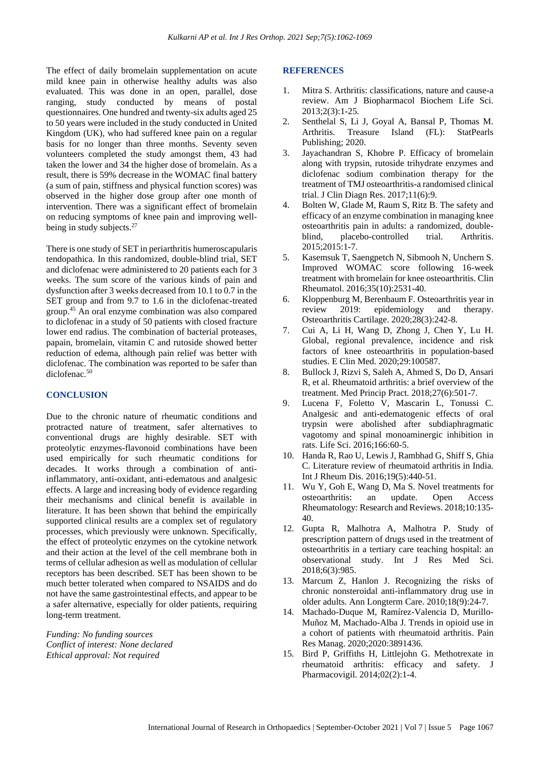The effect of daily bromelain supplementation on acute mild knee pain in otherwise healthy adults was also evaluated. This was done in an open, parallel, dose ranging, study conducted by means of postal questionnaires. One hundred and twenty-six adults aged 25 to 50 years were included in the study conducted in United Kingdom (UK), who had suffered knee pain on a regular basis for no longer than three months. Seventy seven volunteers completed the study amongst them, 43 had taken the lower and 34 the higher dose of bromelain. As a result, there is 59% decrease in the WOMAC final battery (a sum of pain, stiffness and physical function scores) was observed in the higher dose group after one month of intervention. There was a significant effect of bromelain on reducing symptoms of knee pain and improving wellbeing in study subjects.<sup>27</sup>

There is one study of SET in periarthritis humeroscapularis tendopathica. In this randomized, double-blind trial, SET and diclofenac were administered to 20 patients each for 3 weeks. The sum score of the various kinds of pain and dysfunction after 3 weeks decreased from 10.1 to 0.7 in the SET group and from 9.7 to 1.6 in the diclofenac-treated group.<sup>45</sup> An oral enzyme combination was also compared to diclofenac in a study of 50 patients with closed fracture lower end radius. The combination of bacterial proteases, papain, bromelain, vitamin C and rutoside showed better reduction of edema, although pain relief was better with diclofenac. The combination was reported to be safer than diclofenac.<sup>50</sup>

#### **CONCLUSION**

Due to the chronic nature of rheumatic conditions and protracted nature of treatment, safer alternatives to conventional drugs are highly desirable. SET with proteolytic enzymes-flavonoid combinations have been used empirically for such rheumatic conditions for decades. It works through a combination of antiinflammatory, anti-oxidant, anti-edematous and analgesic effects. A large and increasing body of evidence regarding their mechanisms and clinical benefit is available in literature. It has been shown that behind the empirically supported clinical results are a complex set of regulatory processes, which previously were unknown. Specifically, the effect of proteolytic enzymes on the cytokine network and their action at the level of the cell membrane both in terms of cellular adhesion as well as modulation of cellular receptors has been described. SET has been shown to be much better tolerated when compared to NSAIDS and do not have the same gastrointestinal effects, and appear to be a safer alternative, especially for older patients, requiring long-term treatment.

*Funding: No funding sources Conflict of interest: None declared Ethical approval: Not required*

#### **REFERENCES**

- 1. Mitra S. Arthritis: classifications, nature and cause-a review. Am J Biopharmacol Biochem Life Sci. 2013;2(3):1-25.
- 2. Senthelal S, Li J, Goyal A, Bansal P, Thomas M. Arthritis. Treasure Island (FL): StatPearls Publishing; 2020.
- 3. Jayachandran S, Khobre P. Efficacy of bromelain along with trypsin, rutoside trihydrate enzymes and diclofenac sodium combination therapy for the treatment of TMJ osteoarthritis-a randomised clinical trial. J Clin Diagn Res. 2017;11(6):9.
- 4. Bolten W, Glade M, Raum S, Ritz B. The safety and efficacy of an enzyme combination in managing knee osteoarthritis pain in adults: a randomized, doubleblind, placebo-controlled trial. Arthritis. 2015;2015:1-7.
- 5. Kasemsuk T, Saengpetch N, Sibmooh N, Unchern S. Improved WOMAC score following 16-week treatment with bromelain for knee osteoarthritis. Clin Rheumatol. 2016;35(10):2531-40.
- 6. Kloppenburg M, Berenbaum F. Osteoarthritis year in review 2019: epidemiology and therapy. Osteoarthritis Cartilage. 2020;28(3):242-8.
- 7. Cui A, Li H, Wang D, Zhong J, Chen Y, Lu H. Global, regional prevalence, incidence and risk factors of knee osteoarthritis in population-based studies. E Clin Med. 2020;29:100587.
- 8. Bullock J, Rizvi S, Saleh A, Ahmed S, Do D, Ansari R, et al. Rheumatoid arthritis: a brief overview of the treatment. Med Princip Pract. 2018;27(6):501-7.
- 9. Lucena F, Foletto V, Mascarin L, Tonussi C. Analgesic and anti-edematogenic effects of oral trypsin were abolished after subdiaphragmatic vagotomy and spinal monoaminergic inhibition in rats. Life Sci. 2016;166:60-5.
- 10. Handa R, Rao U, Lewis J, Rambhad G, Shiff S, Ghia C. Literature review of rheumatoid arthritis in India. Int J Rheum Dis. 2016;19(5):440-51.
- 11. Wu Y, Goh E, Wang D, Ma S. Novel treatments for osteoarthritis: an update. Open Access Rheumatology: Research and Reviews. 2018;10:135- 40.
- 12. Gupta R, Malhotra A, Malhotra P. Study of prescription pattern of drugs used in the treatment of osteoarthritis in a tertiary care teaching hospital: an observational study. Int J Res Med Sci. 2018;6(3):985.
- 13. Marcum Z, Hanlon J. Recognizing the risks of chronic nonsteroidal anti-inflammatory drug use in older adults. Ann Longterm Care. 2010;18(9):24-7.
- 14. Machado-Duque M, Ramírez-Valencia D, Murillo-Muñoz M, Machado-Alba J. Trends in opioid use in a cohort of patients with rheumatoid arthritis. Pain Res Manag. 2020;2020:3891436.
- 15. Bird P, Griffiths H, Littlejohn G. Methotrexate in rheumatoid arthritis: efficacy and safety. J Pharmacovigil. 2014;02(2):1-4.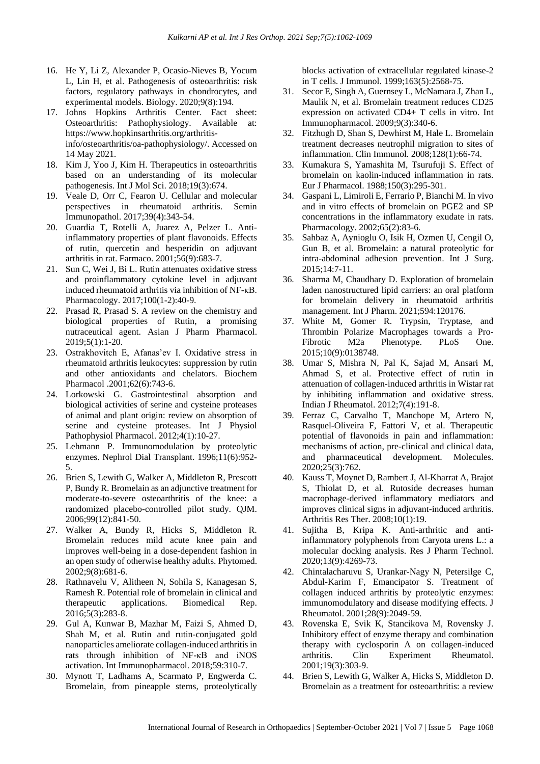- 16. He Y, Li Z, Alexander P, Ocasio-Nieves B, Yocum L, Lin H, et al. Pathogenesis of osteoarthritis: risk factors, regulatory pathways in chondrocytes, and experimental models. Biology. 2020;9(8):194.
- 17. Johns Hopkins Arthritis Center. Fact sheet: Osteoarthritis: Pathophysiology. Available at: https://www.hopkinsarthritis.org/arthritisinfo/osteoarthritis/oa-pathophysiology/. Accessed on 14 May 2021.
- 18. Kim J, Yoo J, Kim H. Therapeutics in osteoarthritis based on an understanding of its molecular pathogenesis. Int J Mol Sci. 2018;19(3):674.
- 19. Veale D, Orr C, Fearon U. Cellular and molecular perspectives in rheumatoid arthritis. Semin Immunopathol. 2017;39(4):343-54.
- 20. Guardia T, Rotelli A, Juarez A, Pelzer L. Antiinflammatory properties of plant flavonoids. Effects of rutin, quercetin and hesperidin on adjuvant arthritis in rat. Farmaco. 2001;56(9):683-7.
- 21. Sun C, Wei J, Bi L. Rutin attenuates oxidative stress and proinflammatory cytokine level in adjuvant induced rheumatoid arthritis via inhibition of NF-κB. Pharmacology. 2017;100(1-2):40-9.
- 22. Prasad R, Prasad S. A review on the chemistry and biological properties of Rutin, a promising nutraceutical agent. Asian J Pharm Pharmacol. 2019;5(1):1-20.
- 23. Ostrakhovitch E, Afanas'ev I. Oxidative stress in rheumatoid arthritis leukocytes: suppression by rutin and other antioxidants and chelators. Biochem Pharmacol .2001;62(6):743-6.
- 24. Lorkowski G. Gastrointestinal absorption and biological activities of serine and cysteine proteases of animal and plant origin: review on absorption of serine and cysteine proteases. Int J Physiol Pathophysiol Pharmacol. 2012;4(1):10-27.
- 25. Lehmann P. Immunomodulation by proteolytic enzymes. Nephrol Dial Transplant. 1996;11(6):952- 5.
- 26. Brien S, Lewith G, Walker A, Middleton R, Prescott P, Bundy R. Bromelain as an adjunctive treatment for moderate-to-severe osteoarthritis of the knee: a randomized placebo-controlled pilot study. QJM. 2006;99(12):841-50.
- 27. Walker A, Bundy R, Hicks S, Middleton R. Bromelain reduces mild acute knee pain and improves well-being in a dose-dependent fashion in an open study of otherwise healthy adults. Phytomed. 2002;9(8):681-6.
- 28. Rathnavelu V, Alitheen N, Sohila S, Kanagesan S, Ramesh R. Potential role of bromelain in clinical and therapeutic applications. Biomedical Rep. 2016;5(3):283-8.
- 29. Gul A, Kunwar B, Mazhar M, Faizi S, Ahmed D, Shah M, et al. Rutin and rutin-conjugated gold nanoparticles ameliorate collagen-induced arthritis in rats through inhibition of NF-κB and iNOS activation. Int Immunopharmacol. 2018;59:310-7.
- 30. Mynott T, Ladhams A, Scarmato P, Engwerda C. Bromelain, from pineapple stems, proteolytically

blocks activation of extracellular regulated kinase-2 in T cells. J Immunol. 1999;163(5):2568-75.

- 31. Secor E, Singh A, Guernsey L, McNamara J, Zhan L, Maulik N, et al. Bromelain treatment reduces CD25 expression on activated CD4+ T cells in vitro. Int Immunopharmacol. 2009;9(3):340-6.
- 32. Fitzhugh D, Shan S, Dewhirst M, Hale L. Bromelain treatment decreases neutrophil migration to sites of inflammation. Clin Immunol. 2008;128(1):66-74.
- 33. Kumakura S, Yamashita M, Tsurufuji S. Effect of bromelain on kaolin-induced inflammation in rats. Eur J Pharmacol. 1988;150(3):295-301.
- 34. Gaspani L, Limiroli E, Ferrario P, Bianchi M. In vivo and in vitro effects of bromelain on PGE2 and SP concentrations in the inflammatory exudate in rats. Pharmacology. 2002;65(2):83-6.
- 35. Sahbaz A, Aynioglu O, Isik H, Ozmen U, Cengil O, Gun B, et al. Bromelain: a natural proteolytic for intra-abdominal adhesion prevention. Int J Surg. 2015;14:7-11.
- 36. Sharma M, Chaudhary D. Exploration of bromelain laden nanostructured lipid carriers: an oral platform for bromelain delivery in rheumatoid arthritis management. Int J Pharm. 2021;594:120176.
- 37. White M, Gomer R. Trypsin, Tryptase, and Thrombin Polarize Macrophages towards a Pro-Fibrotic M2a Phenotype. PLoS One. 2015;10(9):0138748.
- 38. Umar S, Mishra N, Pal K, Sajad M, Ansari M, Ahmad S, et al. Protective effect of rutin in attenuation of collagen-induced arthritis in Wistar rat by inhibiting inflammation and oxidative stress. Indian J Rheumatol. 2012;7(4):191-8.
- 39. Ferraz C, Carvalho T, Manchope M, Artero N, Rasquel-Oliveira F, Fattori V, et al. Therapeutic potential of flavonoids in pain and inflammation: mechanisms of action, pre-clinical and clinical data, and pharmaceutical development. Molecules. 2020;25(3):762.
- 40. Kauss T, Moynet D, Rambert J, Al-Kharrat A, Brajot S, Thiolat D, et al. Rutoside decreases human macrophage-derived inflammatory mediators and improves clinical signs in adjuvant-induced arthritis. Arthritis Res Ther. 2008;10(1):19.
- 41. Sujitha B, Kripa K. Anti-arthritic and antiinflammatory polyphenols from Caryota urens L.: a molecular docking analysis. Res J Pharm Technol. 2020;13(9):4269-73.
- 42. Chintalacharuvu S, Urankar-Nagy N, Petersilge C, Abdul-Karim F, Emancipator S. Treatment of collagen induced arthritis by proteolytic enzymes: immunomodulatory and disease modifying effects. J Rheumatol. 2001;28(9):2049-59.
- 43. Rovenska E, Svik K, Stancikova M, Rovensky J. Inhibitory effect of enzyme therapy and combination therapy with cyclosporin A on collagen-induced arthritis. Clin Experiment Rheumatol. 2001;19(3):303-9.
- 44. Brien S, Lewith G, Walker A, Hicks S, Middleton D. Bromelain as a treatment for osteoarthritis: a review